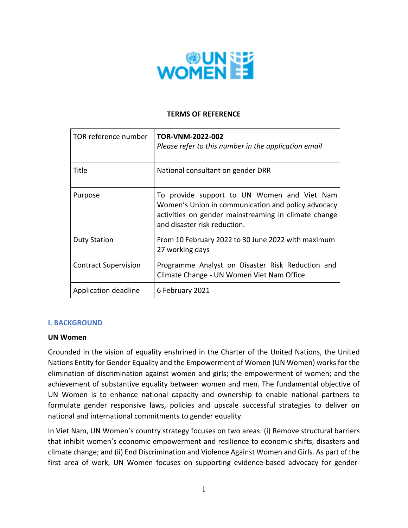

### **TERMS OF REFERENCE**

| TOR reference number        | TOR-VNM-2022-002<br>Please refer to this number in the application email                                                                                                                  |
|-----------------------------|-------------------------------------------------------------------------------------------------------------------------------------------------------------------------------------------|
| Title                       | National consultant on gender DRR                                                                                                                                                         |
| Purpose                     | To provide support to UN Women and Viet Nam<br>Women's Union in communication and policy advocacy<br>activities on gender mainstreaming in climate change<br>and disaster risk reduction. |
| <b>Duty Station</b>         | From 10 February 2022 to 30 June 2022 with maximum<br>27 working days                                                                                                                     |
| <b>Contract Supervision</b> | Programme Analyst on Disaster Risk Reduction and<br>Climate Change - UN Women Viet Nam Office                                                                                             |
| Application deadline        | 6 February 2021                                                                                                                                                                           |

## **I. BACKGROUND**

#### **UN Women**

Grounded in the vision of equality enshrined in the Charter of the United Nations, the United Nations Entity for Gender Equality and the Empowerment of Women (UN Women) works for the elimination of discrimination against women and girls; the empowerment of women; and the achievement of substantive equality between women and men. The fundamental objective of UN Women is to enhance national capacity and ownership to enable national partners to formulate gender responsive laws, policies and upscale successful strategies to deliver on national and international commitments to gender equality.

In Viet Nam, UN Women's country strategy focuses on two areas: (i) Remove structural barriers that inhibit women's economic empowerment and resilience to economic shifts, disasters and climate change; and (ii) End Discrimination and Violence Against Women and Girls. As part of the first area of work, UN Women focuses on supporting evidence-based advocacy for gender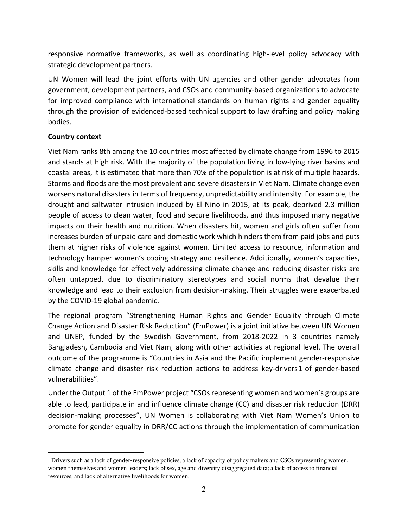responsive normative frameworks, as well as coordinating high-level policy advocacy with strategic development partners.

UN Women will lead the joint efforts with UN agencies and other gender advocates from government, development partners, and CSOs and community‐based organizations to advocate for improved compliance with international standards on human rights and gender equality through the provision of evidenced‐based technical support to law drafting and policy making bodies.

## **Country context**

Viet Nam ranks 8th among the 10 countries most affected by climate change from 1996 to 2015 and stands at high risk. With the majority of the population living in low‐lying river basins and coastal areas, it is estimated that more than 70% of the population is at risk of multiple hazards. Storms and floods are the most prevalent and severe disasters in Viet Nam. Climate change even worsens natural disasters in terms of frequency, unpredictability and intensity. For example, the drought and saltwater intrusion induced by El Nino in 2015, at its peak, deprived 2.3 million people of access to clean water, food and secure livelihoods, and thus imposed many negative impacts on their health and nutrition. When disasters hit, women and girls often suffer from increases burden of unpaid care and domestic work which hinders them from paid jobs and puts them at higher risks of violence against women. Limited access to resource, information and technology hamper women's coping strategy and resilience. Additionally, women's capacities, skills and knowledge for effectively addressing climate change and reducing disaster risks are often untapped, due to discriminatory stereotypes and social norms that devalue their knowledge and lead to their exclusion from decision‐making. Their struggles were exacerbated by the COVID‐19 global pandemic.

The regional program "Strengthening Human Rights and Gender Equality through Climate Change Action and Disaster Risk Reduction" (EmPower) is a joint initiative between UN Women and UNEP, funded by the Swedish Government, from 2018-2022 in 3 countries namely Bangladesh, Cambodia and Viet Nam, along with other activities at regional level. The overall outcome of the programme is "Countries in Asia and the Pacific implement gender‐responsive climate change and disaster risk reduction actions to address key‐drivers1 of gender‐based vulnerabilities".

Under the Output 1 of the EmPower project "CSOs representing women and women's groups are able to lead, participate in and influence climate change (CC) and disaster risk reduction (DRR) decision-making processes", UN Women is collaborating with Viet Nam Women's Union to promote for gender equality in DRR/CC actions through the implementation of communication

<sup>&</sup>lt;sup>1</sup> Drivers such as a lack of gender-responsive policies; a lack of capacity of policy makers and CSOs representing women, women themselves and women leaders; lack of sex, age and diversity disaggregated data; a lack of access to financial resources; and lack of alternative livelihoods for women.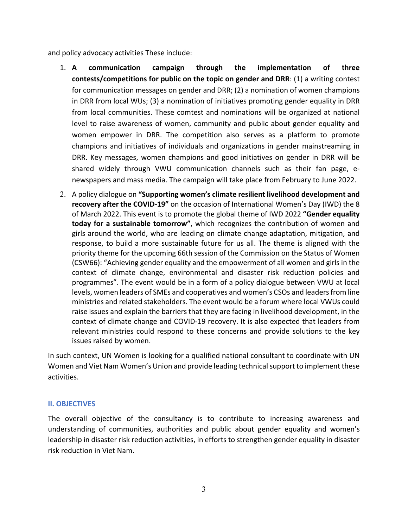and policy advocacy activities These include:

- 1. **A communication campaign through the implementation of three contests/competitions for public on the topic on gender and DRR**: (1) a writing contest for communication messages on gender and DRR; (2) a nomination of women champions in DRR from local WUs; (3) a nomination of initiatives promoting gender equality in DRR from local communities. These comtest and nominations will be organized at national level to raise awareness of women, community and public about gender equality and women empower in DRR. The competition also serves as a platform to promote champions and initiatives of individuals and organizations in gender mainstreaming in DRR. Key messages, women champions and good initiatives on gender in DRR will be shared widely through VWU communication channels such as their fan page, enewspapers and mass media. The campaign will take place from February to June 2022.
- 2. A policy dialogue on **"Supporting women's climate resilient livelihood development and recovery after the COVID-19"** on the occasion of International Women's Day (IWD) the 8 of March 2022. This event is to promote the global theme of IWD 2022 **"Gender equality today for a sustainable tomorrow"**, which recognizes the contribution of women and girls around the world, who are leading on climate change adaptation, mitigation, and response, to build a more sustainable future for us all. The theme is aligned with the priority theme for the upcoming 66th session of the Commission on the Status of Women (CSW66): "Achieving gender equality and the empowerment of all women and girls in the context of climate change, environmental and disaster risk reduction policies and programmes". The event would be in a form of a policy dialogue between VWU at local levels, women leaders of SMEs and cooperatives and women's CSOs and leaders from line ministries and related stakeholders. The event would be a forum where local VWUs could raise issues and explain the barriers that they are facing in livelihood development, in the context of climate change and COVID‐19 recovery. It is also expected that leaders from relevant ministries could respond to these concerns and provide solutions to the key issues raised by women.

In such context, UN Women is looking for a qualified national consultant to coordinate with UN Women and Viet Nam Women's Union and provide leading technical support to implement these activities.

## **II. OBJECTIVES**

The overall objective of the consultancy is to contribute to increasing awareness and understanding of communities, authorities and public about gender equality and women's leadership in disaster risk reduction activities, in efforts to strengthen gender equality in disaster risk reduction in Viet Nam.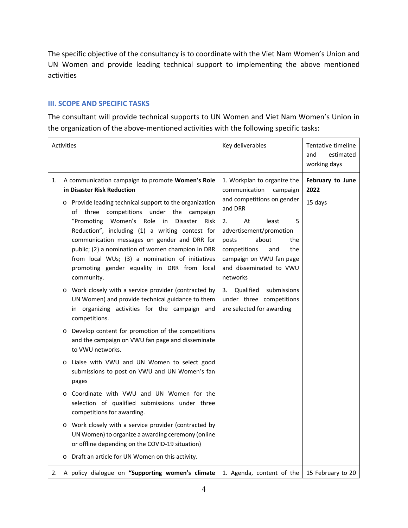The specific objective of the consultancy is to coordinate with the Viet Nam Women's Union and UN Women and provide leading technical support to implementing the above mentioned activities

#### **III. SCOPE AND SPECIFIC TASKS**

The consultant will provide technical supports to UN Women and Viet Nam Women's Union in the organization of the above‐mentioned activities with the following specific tasks:

| <b>Activities</b> |         |                                                                                                                                                                                                                                                                                                                                                                                                                                                                                                                                 | Key deliverables                                                                                                                                                                                                                                                                 | Tentative timeline<br>estimated<br>and<br>working days |
|-------------------|---------|---------------------------------------------------------------------------------------------------------------------------------------------------------------------------------------------------------------------------------------------------------------------------------------------------------------------------------------------------------------------------------------------------------------------------------------------------------------------------------------------------------------------------------|----------------------------------------------------------------------------------------------------------------------------------------------------------------------------------------------------------------------------------------------------------------------------------|--------------------------------------------------------|
| 1.                |         | A communication campaign to promote Women's Role<br>in Disaster Risk Reduction<br>o Provide leading technical support to the organization<br>three competitions under the campaign<br>of<br>Women's Role<br>"Promoting<br>in<br><b>Disaster</b><br>Risk<br>Reduction", including (1) a writing contest for<br>communication messages on gender and DRR for<br>public; (2) a nomination of women champion in DRR<br>from local WUs; (3) a nomination of initiatives<br>promoting gender equality in DRR from local<br>community. | 1. Workplan to organize the<br>communication<br>campaign<br>and competitions on gender<br>and DRR<br>2.<br>At<br>5<br>least<br>advertisement/promotion<br>about<br>posts<br>the<br>competitions<br>the<br>and<br>campaign on VWU fan page<br>and disseminated to VWU<br>networks | February to June<br>2022<br>15 days                    |
|                   |         | Work closely with a service provider (contracted by<br>UN Women) and provide technical guidance to them<br>in organizing activities for the campaign and<br>competitions.                                                                                                                                                                                                                                                                                                                                                       | 3. Qualified<br>submissions<br>under three competitions<br>are selected for awarding                                                                                                                                                                                             |                                                        |
|                   |         | o Develop content for promotion of the competitions<br>and the campaign on VWU fan page and disseminate<br>to VWU networks.                                                                                                                                                                                                                                                                                                                                                                                                     |                                                                                                                                                                                                                                                                                  |                                                        |
|                   | $\circ$ | Liaise with VWU and UN Women to select good<br>submissions to post on VWU and UN Women's fan<br>pages                                                                                                                                                                                                                                                                                                                                                                                                                           |                                                                                                                                                                                                                                                                                  |                                                        |
|                   |         | o Coordinate with VWU and UN Women for the<br>selection of qualified submissions under three<br>competitions for awarding.                                                                                                                                                                                                                                                                                                                                                                                                      |                                                                                                                                                                                                                                                                                  |                                                        |
|                   | $\circ$ | Work closely with a service provider (contracted by<br>UN Women) to organize a awarding ceremony (online<br>or offline depending on the COVID-19 situation)                                                                                                                                                                                                                                                                                                                                                                     |                                                                                                                                                                                                                                                                                  |                                                        |
|                   |         | o Draft an article for UN Women on this activity.                                                                                                                                                                                                                                                                                                                                                                                                                                                                               |                                                                                                                                                                                                                                                                                  |                                                        |
|                   |         | 2. A policy dialogue on "Supporting women's climate                                                                                                                                                                                                                                                                                                                                                                                                                                                                             | 1. Agenda, content of the                                                                                                                                                                                                                                                        | 15 February to 20                                      |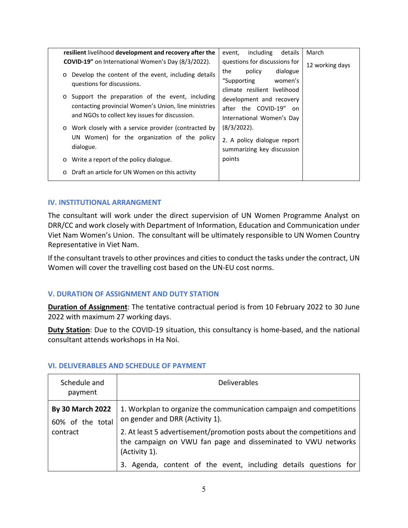| resilient livelihood development and recovery after the                                                                                                              | including<br>March<br>details<br>event,                                             |
|----------------------------------------------------------------------------------------------------------------------------------------------------------------------|-------------------------------------------------------------------------------------|
| <b>COVID-19"</b> on International Women's Day (8/3/2022).                                                                                                            | questions for discussions for<br>12 working days                                    |
| Develop the content of the event, including details<br>$\circ$<br>questions for discussions.                                                                         | dialogue<br>the<br>policy<br>women's<br>"Supporting<br>climate resilient livelihood |
| Support the preparation of the event, including<br>$\circ$<br>contacting provincial Women's Union, line ministries<br>and NGOs to collect key issues for discussion. | development and recovery<br>after the COVID-19" on<br>International Women's Day     |
| Work closely with a service provider (contracted by<br>$\circ$<br>UN Women) for the organization of the policy<br>dialogue.                                          | (8/3/2022).<br>2. A policy dialogue report<br>summarizing key discussion            |
| Write a report of the policy dialogue.<br>$\circ$                                                                                                                    | points                                                                              |
| Draft an article for UN Women on this activity<br>$\circ$                                                                                                            |                                                                                     |

#### **IV. INSTITUTIONAL ARRANGMENT**

The consultant will work under the direct supervision of UN Women Programme Analyst on DRR/CC and work closely with Department of Information, Education and Communication under Viet Nam Women's Union. The consultant will be ultimately responsible to UN Women Country Representative in Viet Nam.

If the consultant travels to other provinces and cities to conduct the tasks under the contract, UN Women will cover the travelling cost based on the UN‐EU cost norms.

## **V. DURATION OF ASSIGNMENT AND DUTY STATION**

**Duration of Assignment**: The tentative contractual period is from 10 February 2022 to 30 June 2022 with maximum 27 working days.

**Duty Station**: Due to the COVID-19 situation, this consultancy is home-based, and the national consultant attends workshops in Ha Noi.

| Schedule and<br>payment                     | <b>Deliverables</b>                                                                                                                                      |
|---------------------------------------------|----------------------------------------------------------------------------------------------------------------------------------------------------------|
| <b>By 30 March 2022</b><br>60% of the total | 1. Workplan to organize the communication campaign and competitions<br>on gender and DRR (Activity 1).                                                   |
| contract                                    | 2. At least 5 advertisement/promotion posts about the competitions and<br>the campaign on VWU fan page and disseminated to VWU networks<br>(Activity 1). |
|                                             | 3. Agenda, content of the event, including details questions for                                                                                         |

#### **VI. DELIVERABLES AND SCHEDULE OF PAYMENT**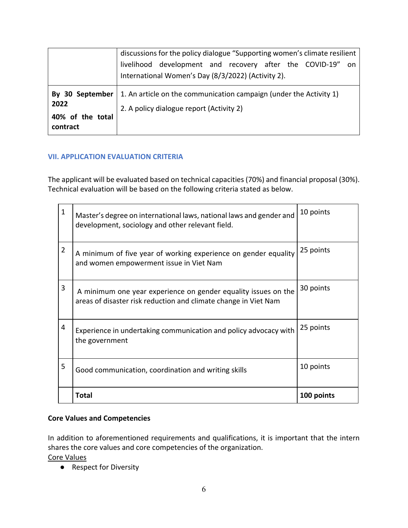|                                      | discussions for the policy dialogue "Supporting women's climate resilient<br>livelihood development and recovery after the COVID-19" on<br>International Women's Day (8/3/2022) (Activity 2). |
|--------------------------------------|-----------------------------------------------------------------------------------------------------------------------------------------------------------------------------------------------|
| 2022<br>40% of the total<br>contract | By 30 September   1. An article on the communication campaign (under the Activity 1)<br>2. A policy dialogue report (Activity 2)                                                              |

## **VII. APPLICATION EVALUATION CRITERIA**

The applicant will be evaluated based on technical capacities (70%) and financial proposal (30%). Technical evaluation will be based on the following criteria stated as below.

| 1              | Master's degree on international laws, national laws and gender and<br>development, sociology and other relevant field.           | 10 points  |
|----------------|-----------------------------------------------------------------------------------------------------------------------------------|------------|
| $\overline{2}$ | A minimum of five year of working experience on gender equality<br>and women empowerment issue in Viet Nam                        | 25 points  |
| 3              | A minimum one year experience on gender equality issues on the<br>areas of disaster risk reduction and climate change in Viet Nam | 30 points  |
| 4              | Experience in undertaking communication and policy advocacy with<br>the government                                                | 25 points  |
| 5              | Good communication, coordination and writing skills                                                                               | 10 points  |
|                | <b>Total</b>                                                                                                                      | 100 points |

# **Core Values and Competencies**

In addition to aforementioned requirements and qualifications, it is important that the intern shares the core values and core competencies of the organization.

Core Values

● Respect for Diversity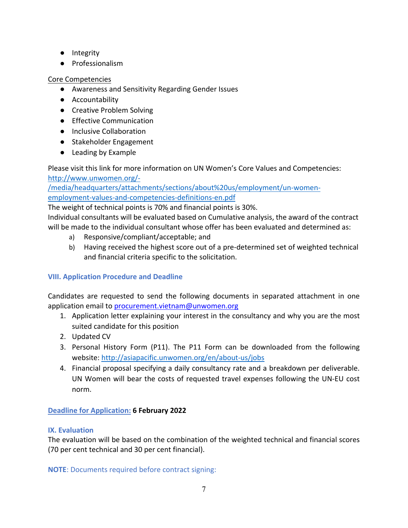- Integrity
- Professionalism

## Core Competencies

- Awareness and Sensitivity Regarding Gender Issues
- Accountability
- Creative Problem Solving
- Effective Communication
- Inclusive Collaboration
- Stakeholder Engagement
- Leading by Example

Please visit this link for more information on UN Women's Core Values and Competencies: http://www.unwomen.org/‐

/media/headquarters/attachments/sections/about%20us/employment/un‐women‐ employment‐values‐and‐competencies‐definitions‐en.pdf

The weight of technical points is 70% and financial points is 30%.

Individual consultants will be evaluated based on Cumulative analysis, the award of the contract will be made to the individual consultant whose offer has been evaluated and determined as:

- a) Responsive/compliant/acceptable; and
- b) Having received the highest score out of a pre‐determined set of weighted technical and financial criteria specific to the solicitation.

# **VIII. Application Procedure and Deadline**

Candidates are requested to send the following documents in separated attachment in one application email to procurement.vietnam@unwomen.org

- 1. Application letter explaining your interest in the consultancy and why you are the most suited candidate for this position
- 2. Updated CV
- 3. Personal History Form (P11). The P11 Form can be downloaded from the following website: http://asiapacific.unwomen.org/en/about‐us/jobs
- 4. Financial proposal specifying a daily consultancy rate and a breakdown per deliverable. UN Women will bear the costs of requested travel expenses following the UN‐EU cost norm.

# **Deadline for Application: 6 February 2022**

# **IX. Evaluation**

The evaluation will be based on the combination of the weighted technical and financial scores (70 per cent technical and 30 per cent financial).

**NOTE**: Documents required before contract signing: